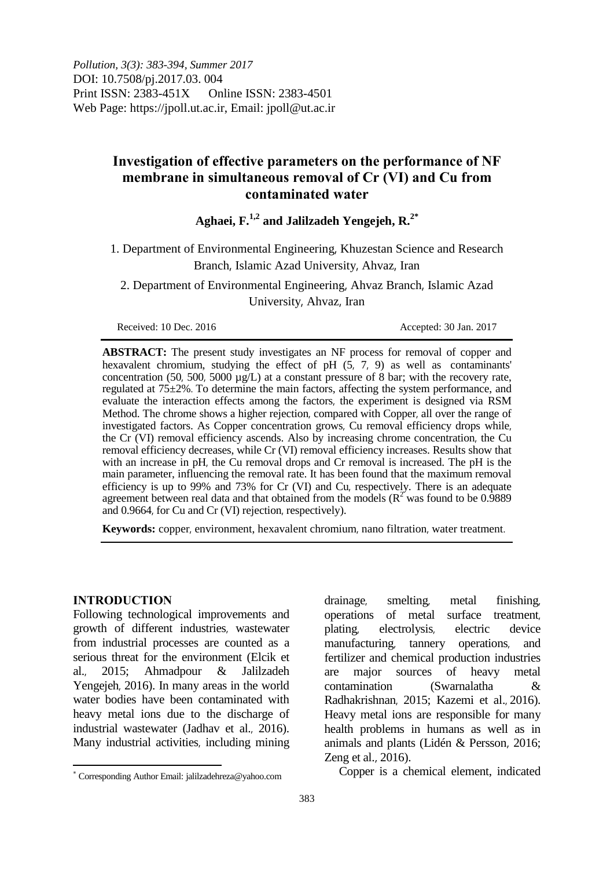*Pollution, 3(3): 383-394, Summer 2017*  DOI: 10.7508/pj.2017.03. 004 Print ISSN: 2383-451X Online ISSN: 2383-4501 Web Page: https://jpoll.ut.ac.ir, Email: jpoll@ut.ac.ir

## **Investigation of effective parameters on the performance of NF membrane in simultaneous removal of Cr (VI) and Cu from contaminated water**

# **Aghaei, F.1,2 and Jalilzadeh Yengejeh, R.2\***

1. Department of Environmental Engineering, Khuzestan Science and Research Branch, Islamic Azad University, Ahvaz, Iran

2. Department of Environmental Engineering, Ahvaz Branch, Islamic Azad University, Ahvaz, Iran

Received: 10 Dec. 2016 **Accepted: 30 Jan. 2017** 

**ABSTRACT:** The present study investigates an NF process for removal of copper and hexavalent chromium, studying the effect of pH  $(5, 7, 9)$  as well as contaminants' concentration (50, 500, 5000  $\mu$ g/L) at a constant pressure of 8 bar; with the recovery rate, regulated at 75±2%. To determine the main factors, affecting the system performance, and evaluate the interaction effects among the factors, the experiment is designed via RSM Method. The chrome shows a higher rejection, compared with Copper, all over the range of investigated factors. As Copper concentration grows, Cu removal efficiency drops while, the Cr (VI) removal efficiency ascends. Also by increasing chrome concentration, the Cu removal efficiency decreases, while Cr (VI) removal efficiency increases. Results show that with an increase in pH, the Cu removal drops and Cr removal is increased. The pH is the main parameter, influencing the removal rate. It has been found that the maximum removal efficiency is up to 99% and 73% for Cr (VI) and Cu, respectively. There is an adequate agreement between real data and that obtained from the models ( $\mathbb{R}^2$  was found to be 0.9889 and 0.9664, for Cu and Cr (VI) rejection, respectively).

**Keywords:** copper, environment, hexavalent chromium, nano filtration, water treatment.

#### **INTRODUCTION**

 $\overline{a}$ 

Following technological improvements and growth of different industries, wastewater from industrial processes are counted as a serious threat for the environment (Elcik et al., 2015; Ahmadpour & Jalilzadeh Yengejeh, 2016). In many areas in the world water bodies have been contaminated with heavy metal ions due to the discharge of industrial wastewater (Jadhav et al., 2016). Many industrial activities, including mining

drainage, smelting, metal finishing, operations of metal surface treatment, plating, electrolysis, electric device manufacturing, tannery operations, and fertilizer and chemical production industries are major sources of heavy metal contamination (Swarnalatha & Radhakrishnan, 2015; Kazemi et al., 2016). Heavy metal ions are responsible for many health problems in humans as well as in animals and plants (Lidén & Persson, 2016; Zeng et al., 2016).

Copper is a chemical element, indicated

Corresponding Author Email: jalilzadehreza@yahoo.com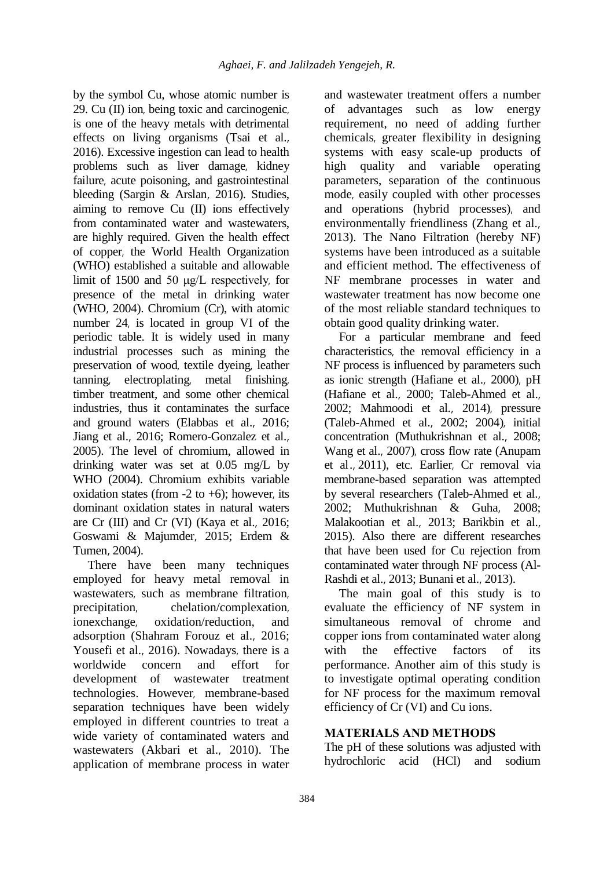by the symbol Cu, whose atomic number is 29. Cu (II) ion, being toxic and carcinogenic, is one of the heavy metals with detrimental effects on living organisms (Tsai et al., 2016). Excessive ingestion can lead to health problems such as liver damage, kidney failure, acute poisoning, and gastrointestinal bleeding (Sargin & Arslan, 2016). Studies, aiming to remove Cu (II) ions effectively from contaminated water and wastewaters, are highly required. Given the health effect of copper, the World Health Organization (WHO) established a suitable and allowable limit of 1500 and 50 μg/L respectively, for presence of the metal in drinking water (WHO, 2004). Chromium (Cr), with atomic number 24, is located in group VI of the periodic table. It is widely used in many industrial processes such as mining the preservation of wood, textile dyeing, leather tanning, electroplating, metal finishing, timber treatment, and some other chemical industries, thus it contaminates the surface and ground waters (Elabbas et al., 2016; Jiang et al., 2016; Romero-Gonzalez et al., 2005). The level of chromium, allowed in drinking water was set at 0.05 mg/L by WHO (2004). Chromium exhibits variable oxidation states (from  $-2$  to  $+6$ ); however, its dominant oxidation states in natural waters are Cr (III) and Cr (VI) (Kaya et al., 2016; Goswami & Majumder, 2015; Erdem & Tumen, 2004).

There have been many techniques employed for heavy metal removal in wastewaters, such as membrane filtration, precipitation, chelation/complexation, ionexchange, oxidation/reduction, and adsorption (Shahram Forouz et al., 2016; Yousefi et al., 2016). Nowadays, there is a worldwide concern and effort for development of wastewater treatment technologies. However, membrane-based separation techniques have been widely employed in different countries to treat a wide variety of contaminated waters and wastewaters (Akbari et al., 2010). The application of membrane process in water

and wastewater treatment offers a number of advantages such as low energy requirement, no need of adding further chemicals, greater flexibility in designing systems with easy scale-up products of high quality and variable operating parameters, separation of the continuous mode, easily coupled with other processes and operations (hybrid processes), and environmentally friendliness (Zhang et al., 2013). The Nano Filtration (hereby NF) systems have been introduced as a suitable and efficient method. The effectiveness of NF membrane processes in water and wastewater treatment has now become one of the most reliable standard techniques to obtain good quality drinking water.

For a particular membrane and feed characteristics, the removal efficiency in a NF process is influenced by parameters such as ionic strength (Hafiane et al., 2000), pH (Hafiane et al., 2000; Taleb-Ahmed et al., 2002; Mahmoodi et al., 2014), pressure (Taleb-Ahmed et al., 2002; 2004), initial concentration (Muthukrishnan et al., 2008; Wang et al., 2007), cross flow rate (Anupam et al., 2011), etc. Earlier, Cr removal via membrane-based separation was attempted by several researchers (Taleb-Ahmed et al., 2002; Muthukrishnan & Guha, 2008; Malakootian et al., 2013; Barikbin et al., 2015). Also there are different researches that have been used for Cu rejection from contaminated water through NF process (Al-Rashdi et al., 2013; Bunani et al., 2013).

The main goal of this study is to evaluate the efficiency of NF system in simultaneous removal of chrome and copper ions from contaminated water along with the effective factors of its performance. Another aim of this study is to investigate optimal operating condition for NF process for the maximum removal efficiency of Cr (VI) and Cu ions.

## **MATERIALS AND METHODS**

The pH of these solutions was adjusted with hydrochloric acid (HCl) and sodium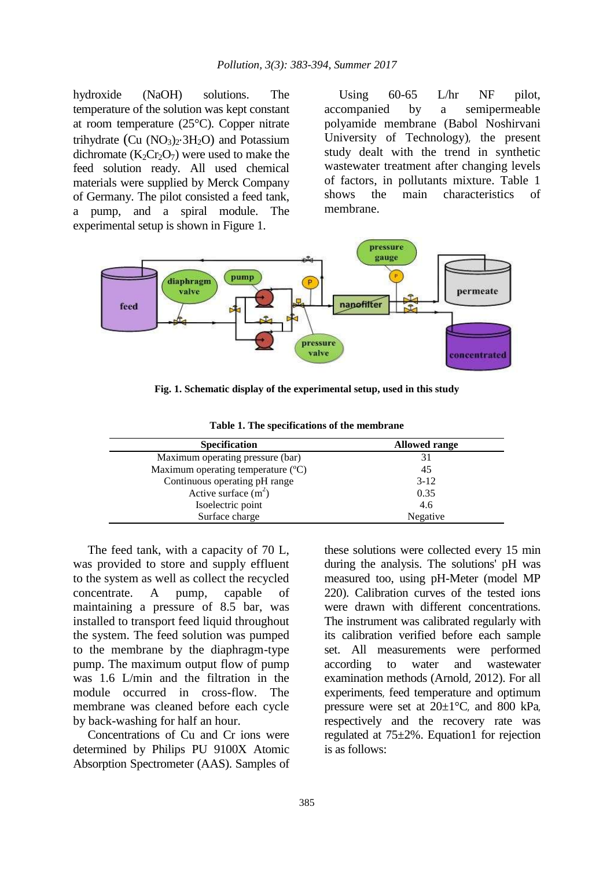hydroxide (NaOH) solutions. The temperature of the solution was kept constant at room temperature (25°C). Copper nitrate trihydrate (Cu  $(NO<sub>3</sub>)<sub>2</sub>·3H<sub>2</sub>O$ ) and Potassium dichromate  $(K_2Cr_2O_7)$  were used to make the feed solution ready. All used chemical materials were supplied by Merck Company of Germany. The pilot consisted a feed tank, a pump, and a spiral module. The experimental setup is shown in Figure 1.

Using 60-65 L/hr NF pilot, accompanied by a semipermeable polyamide membrane (Babol Noshirvani University of Technology), the present study dealt with the trend in synthetic wastewater treatment after changing levels of factors, in pollutants mixture. Table 1 shows the main characteristics of membrane.



**Fig. 1. Schematic display of the experimental setup, used in this study**

| <b>Specification</b>               | <b>Allowed range</b> |  |  |
|------------------------------------|----------------------|--|--|
| Maximum operating pressure (bar)   |                      |  |  |
| Maximum operating temperature (°C) | 45                   |  |  |
| Continuous operating pH range      | $3-12$               |  |  |
| Active surface $(m^2)$             | 0.35                 |  |  |
| Isoelectric point                  | 4.6                  |  |  |
| Surface charge                     | Negative             |  |  |

**Table 1. The specifications of the membrane**

The feed tank, with a capacity of 70 L, was provided to store and supply effluent to the system as well as collect the recycled concentrate. A pump, capable of maintaining a pressure of 8.5 bar, was installed to transport feed liquid throughout the system. The feed solution was pumped to the membrane by the diaphragm-type pump. The maximum output flow of pump was 1.6 L/min and the filtration in the module occurred in cross-flow. The membrane was cleaned before each cycle by back-washing for half an hour.

Concentrations of Cu and Cr ions were determined by Philips PU 9100X Atomic Absorption Spectrometer (AAS). Samples of

these solutions were collected every 15 min during the analysis. The solutions' pH was measured too, using pH-Meter (model MP 220). Calibration curves of the tested ions were drawn with different concentrations. The instrument was calibrated regularly with its calibration verified before each sample set. All measurements were performed according to water and wastewater examination methods (Arnold, 2012). For all experiments, feed temperature and optimum pressure were set at  $20 \pm 1^{\circ}$ C, and 800 kPa. respectively and the recovery rate was regulated at 75±2%. Equation1 for rejection is as follows: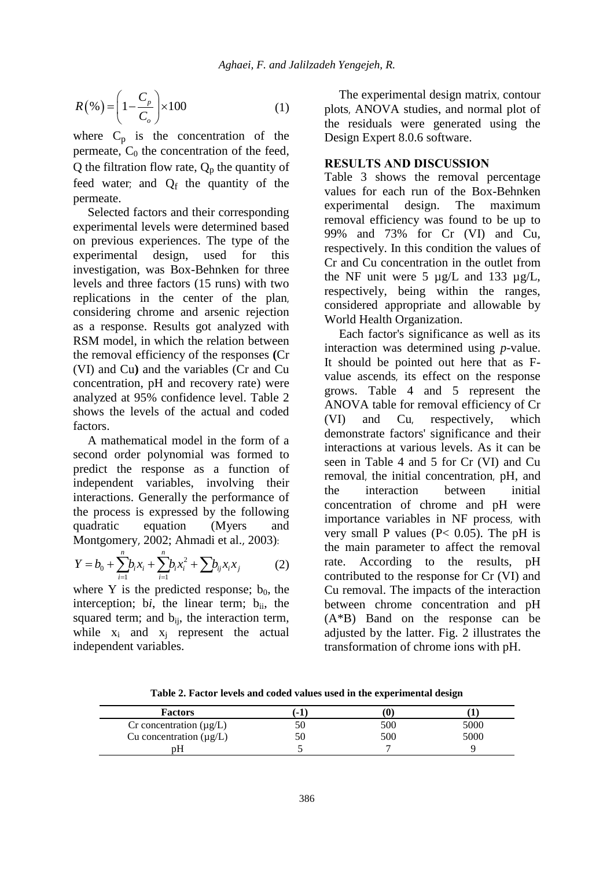$$
R(\%)=\left(1-\frac{C_p}{C_o}\right)\times 100\tag{1}
$$

where  $C_p$  is the concentration of the permeate,  $C_0$  the concentration of the feed, Q the filtration flow rate,  $Q_p$  the quantity of feed water; and  $Q_f$  the quantity of the permeate.

Selected factors and their corresponding experimental levels were determined based on previous experiences. The type of the experimental design, used for this investigation, was Box-Behnken for three levels and three factors (15 runs) with two replications in the center of the plan, considering chrome and arsenic rejection as a response. Results got analyzed with RSM model, in which the relation between the removal efficiency of the responses **(**Cr (VI) and Cu**)** and the variables (Cr and Cu concentration, pH and recovery rate) were analyzed at 95% confidence level. Table 2 shows the levels of the actual and coded factors.

A mathematical model in the form of a second order polynomial was formed to predict the response as a function of independent variables, involving their interactions. Generally the performance of the process is expressed by the following quadratic equation (Myers and

Montgomery, 2002; Ahmadi et al., 2003):  
\n
$$
Y = b_0 + \sum_{i=1}^{n} b_i x_i + \sum_{i=1}^{n} b_i x_i^2 + \sum_{i} b_{ij} x_i x_j
$$
\n(2)

where Y is the predicted response;  $b_0$ , the interception; bi, the linear term; b<sub>ii</sub>, the squared term; and  $b_{ii}$ , the interaction term, while  $x_i$  and  $x_j$  represent the actual independent variables.

The experimental design matrix, contour plots, ANOVA studies, and normal plot of the residuals were generated using the Design Expert 8.0.6 software.

### **RESULTS AND DISCUSSION**

Table 3 shows the removal percentage values for each run of the Box-Behnken experimental design. The maximum removal efficiency was found to be up to 99% and 73% for Cr (VI) and Cu, respectively. In this condition the values of Cr and Cu concentration in the outlet from the NF unit were 5 µg/L and 133 µg/L, respectively, being within the ranges, considered appropriate and allowable by World Health Organization.

Each factor's significance as well as its interaction was determined using *p*-value. It should be pointed out here that as Fvalue ascends, its effect on the response grows. Table 4 and 5 represent the ANOVA table for removal efficiency of Cr (VI) and Cu, respectively, which demonstrate factors' significance and their interactions at various levels. As it can be seen in Table 4 and 5 for Cr (VI) and Cu removal, the initial concentration, pH, and the interaction between initial concentration of chrome and pH were importance variables in NF process, with very small P values ( $P < 0.05$ ). The pH is the main parameter to affect the removal rate. According to the results, pH contributed to the response for Cr (VI) and Cu removal. The impacts of the interaction between chrome concentration and pH (A\*B) Band on the response can be adjusted by the latter. Fig. 2 illustrates the transformation of chrome ions with pH.

**Factors (-1) (0) (1)**  $Cr$  concentration ( $\mu$ g/L)  $50$  5000 5000 Cu concentration  $(\mu g/L)$  50 500 5000 pH 5 7 9

**Table 2. Factor levels and coded values used in the experimental design**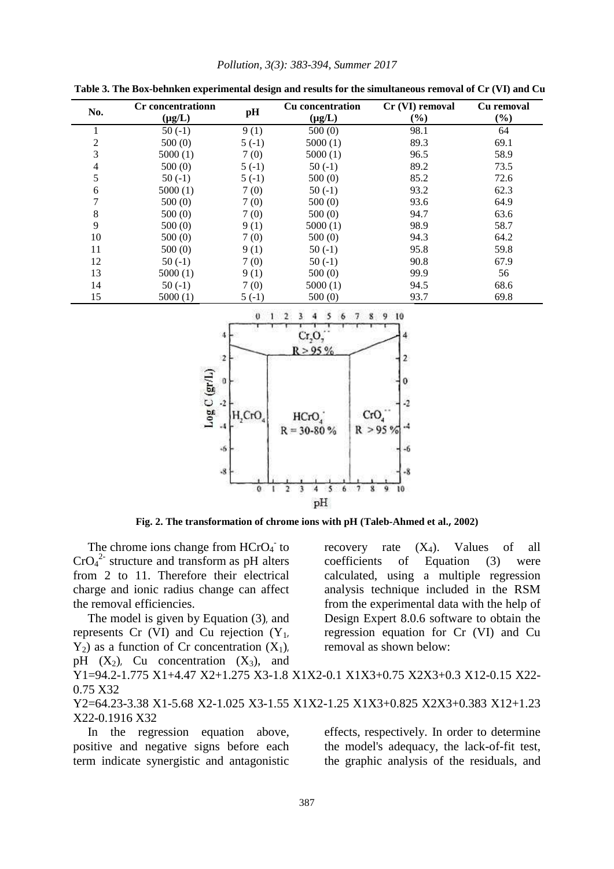| Pollution, 3(3): 383-394, Summer 2017 |  |  |  |  |
|---------------------------------------|--|--|--|--|
|---------------------------------------|--|--|--|--|

| No.            | <b>Cr</b> concentrationn<br>$(\mu g/L)$ | pH      | <b>Cu</b> concentration<br>$(\mu g/L)$ | Cr (VI) removal<br>$(\%)$ | Cu removal<br>$(\%)$ |
|----------------|-----------------------------------------|---------|----------------------------------------|---------------------------|----------------------|
|                | $50(-1)$                                | 9(1)    | 500(0)                                 | 98.1                      | 64                   |
| $\overline{c}$ | 500(0)                                  | $5(-1)$ | 5000(1)                                | 89.3                      | 69.1                 |
| 3              | 5000(1)                                 | 7(0)    | 5000(1)                                | 96.5                      | 58.9                 |
| $\overline{4}$ | 500(0)                                  | $5(-1)$ | $50(-1)$                               | 89.2                      | 73.5                 |
| 5              | $50(-1)$                                | $5(-1)$ | 500(0)                                 | 85.2                      | 72.6                 |
| 6              | 5000(1)                                 | 7(0)    | $50(-1)$                               | 93.2                      | 62.3                 |
| 7              | 500(0)                                  | 7(0)    | 500(0)                                 | 93.6                      | 64.9                 |
| 8              | 500(0)                                  | 7(0)    | 500(0)                                 | 94.7                      | 63.6                 |
| 9              | 500(0)                                  | 9(1)    | 5000(1)                                | 98.9                      | 58.7                 |
| 10             | 500(0)                                  | 7(0)    | 500(0)                                 | 94.3                      | 64.2                 |
| 11             | 500(0)                                  | 9(1)    | $50(-1)$                               | 95.8                      | 59.8                 |
| 12             | $50(-1)$                                | 7(0)    | $50(-1)$                               | 90.8                      | 67.9                 |
| 13             | 5000(1)                                 | 9(1)    | 500(0)                                 | 99.9                      | 56                   |
| 14             | $50(-1)$                                | 7(0)    | 5000(1)                                | 94.5                      | 68.6                 |
| 15             | 5000(1)                                 | $5(-1)$ | 500(0)                                 | 93.7                      | 69.8                 |

**Table 3. The Box-behnken experimental design and results for the simultaneous removal of Cr (VI) and Cu**



**Fig. 2. The transformation of chrome ions with pH (Taleb-Ahmed et al., 2002)**

The chrome ions change from  $HCrO<sub>4</sub>$  to  $CrO<sub>4</sub><sup>2</sup>$  structure and transform as pH alters from 2 to 11. Therefore their electrical charge and ionic radius change can affect the removal efficiencies.

The model is given by Equation (3), and represents Cr (VI) and Cu rejection  $(Y_1,$  $Y_2$ ) as a function of Cr concentration  $(X_1)$ , pH  $(X_2)$ , Cu concentration  $(X_3)$ , and

calculated, using a multiple regression analysis technique included in the RSM from the experimental data with the help of Design Expert 8.0.6 software to obtain the regression equation for Cr (VI) and Cu removal as shown below:

recovery rate  $(X_4)$ . Values of all coefficients of Equation (3) were

Y1=94.2-1.775 X1+4.47 X2+1.275 X3-1.8 X1X2-0.1 X1X3+0.75 X2X3+0.3 X12-0.15 X22- 0.75 X32

Y2=64.23-3.38 X1-5.68 X2-1.025 X3-1.55 X1X2-1.25 X1X3+0.825 X2X3+0.383 X12+1.23 X22-0.1916 X32

In the regression equation above, positive and negative signs before each term indicate synergistic and antagonistic effects, respectively. In order to determine the model's adequacy, the lack-of-fit test, the graphic analysis of the residuals, and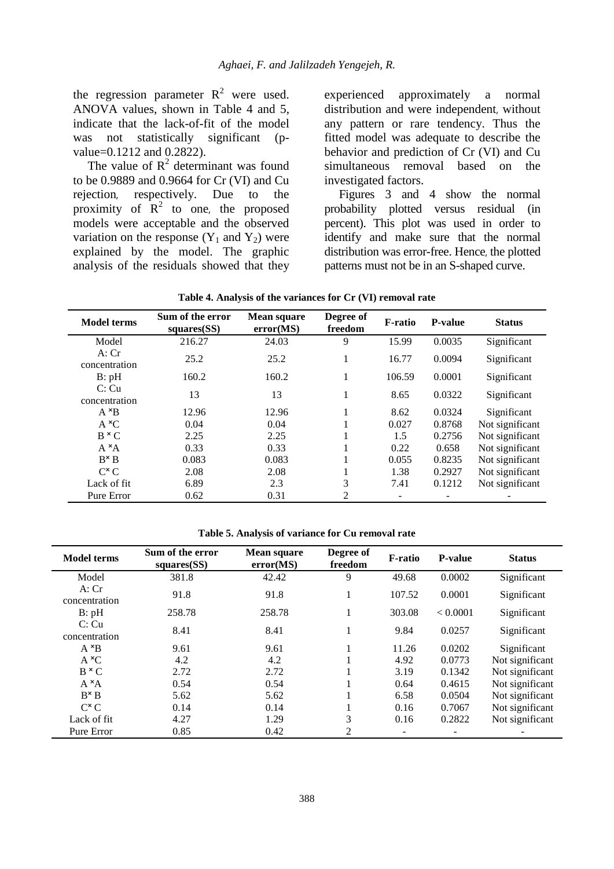the regression parameter  $R^2$  were used. ANOVA values, shown in Table 4 and 5, indicate that the lack-of-fit of the model was not statistically significant (pvalue=0.1212 and 0.2822).

The value of  $R^2$  determinant was found to be 0.9889 and 0.9664 for Cr (VI) and Cu rejection, respectively. Due to the proximity of  $R^2$  to one, the proposed models were acceptable and the observed variation on the response  $(Y_1$  and  $Y_2)$  were explained by the model. The graphic analysis of the residuals showed that they experienced approximately a normal distribution and were independent, without any pattern or rare tendency. Thus the fitted model was adequate to describe the behavior and prediction of Cr (VI) and Cu simultaneous removal based on the investigated factors.

Figures 3 and 4 show the normal probability plotted versus residual (in percent). This plot was used in order to identify and make sure that the normal distribution was error-free. Hence, the plotted patterns must not be in an S-shaped curve.

| <b>Model terms</b>     | Sum of the error<br>squares(SS) | <b>Mean square</b><br>error(MS) | Degree of<br>freedom | <b>F-ratio</b> | <b>P-value</b> | <b>Status</b>   |
|------------------------|---------------------------------|---------------------------------|----------------------|----------------|----------------|-----------------|
| Model                  | 216.27                          | 24.03                           | 9                    | 15.99          | 0.0035         | Significant     |
| A:Cr<br>concentration  | 25.2                            | 25.2                            |                      | 16.77          | 0.0094         | Significant     |
| B: pH                  | 160.2                           | 160.2                           | 1                    | 106.59         | 0.0001         | Significant     |
| C: Cu<br>concentration | 13                              | 13                              | 1                    | 8.65           | 0.0322         | Significant     |
| $A \times B$           | 12.96                           | 12.96                           | 1                    | 8.62           | 0.0324         | Significant     |
| $A \times C$           | 0.04                            | 0.04                            |                      | 0.027          | 0.8768         | Not significant |
| $B \times C$           | 2.25                            | 2.25                            |                      | 1.5            | 0.2756         | Not significant |
| $A \times A$           | 0.33                            | 0.33                            |                      | 0.22           | 0.658          | Not significant |
| $B^{\times}B$          | 0.083                           | 0.083                           |                      | 0.055          | 0.8235         | Not significant |
| $C^{\times}C$          | 2.08                            | 2.08                            |                      | 1.38           | 0.2927         | Not significant |
| Lack of fit.           | 6.89                            | 2.3                             | 3                    | 7.41           | 0.1212         | Not significant |
| Pure Error             | 0.62                            | 0.31                            | 2                    |                |                |                 |

| Table 4. Analysis of the variances for Cr (VI) removal rate |  |  |  |  |
|-------------------------------------------------------------|--|--|--|--|
|-------------------------------------------------------------|--|--|--|--|

**Table 5. Analysis of variance for Cu removal rate**

| <b>Model terms</b>     | Sum of the error<br>squares(SS) | Degree of<br><b>Mean square</b><br>freedom<br>error(MS) |    | <b>F-ratio</b>           | <b>P-value</b> | <b>Status</b>   |
|------------------------|---------------------------------|---------------------------------------------------------|----|--------------------------|----------------|-----------------|
| Model                  | 381.8                           | 42.42                                                   | 9  | 49.68                    | 0.0002         | Significant     |
| A:Cr<br>concentration  | 91.8                            | 91.8                                                    | Ι. | 107.52                   | 0.0001         | Significant     |
| B: pH                  | 258.78                          | 258.78                                                  |    | 303.08                   | < 0.0001       | Significant     |
| C: Cu<br>concentration | 8.41                            | 8.41                                                    |    | 9.84                     | 0.0257         | Significant     |
| $A \times B$           | 9.61                            | 9.61                                                    |    | 11.26                    | 0.0202         | Significant     |
| $A \times C$           | 4.2                             | 4.2                                                     |    | 4.92                     | 0.0773         | Not significant |
| $B \times C$           | 2.72                            | 2.72                                                    |    | 3.19                     | 0.1342         | Not significant |
| $A \times A$           | 0.54                            | 0.54                                                    |    | 0.64                     | 0.4615         | Not significant |
| $B^{\times}B$          | 5.62                            | 5.62                                                    |    | 6.58                     | 0.0504         | Not significant |
| $C^{\times}C$          | 0.14                            | 0.14                                                    |    | 0.16                     | 0.7067         | Not significant |
| Lack of fit.           | 4.27                            | 1.29                                                    | 3  | 0.16                     | 0.2822         | Not significant |
| Pure Error             | 0.85                            | 0.42                                                    | 2  | $\overline{\phantom{a}}$ |                |                 |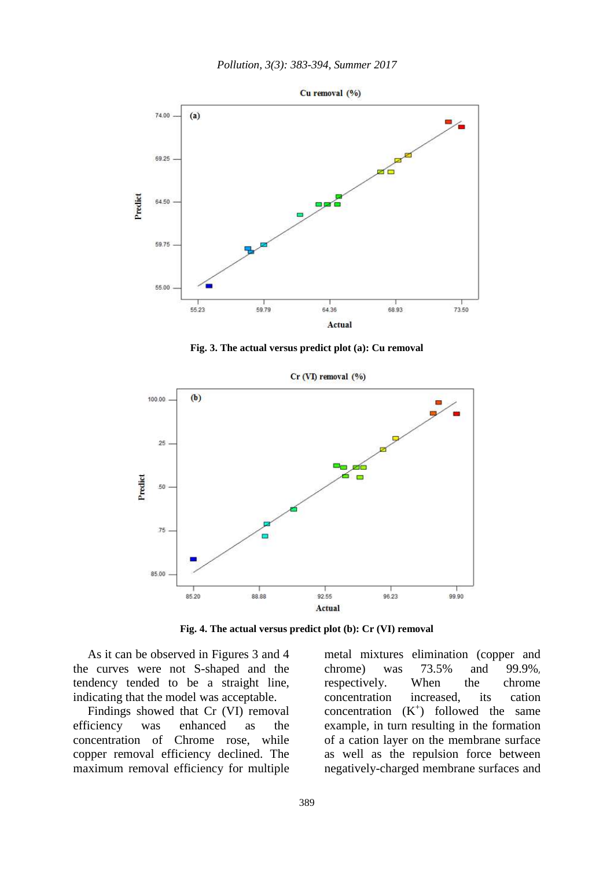

**Fig. 3. The actual versus predict plot (a): Cu removal** 



**Fig. 4. The actual versus predict plot (b): Cr (VI) removal**

As it can be observed in Figures 3 and 4 the curves were not S-shaped and the tendency tended to be a straight line, indicating that the model was acceptable.

Findings showed that Cr (VI) removal efficiency was enhanced as the concentration of Chrome rose, while copper removal efficiency declined. The maximum removal efficiency for multiple metal mixtures elimination (copper and chrome) was 73.5% and 99.9%, respectively. When the chrome concentration increased, its cation concentration  $(K^+)$  followed the same example, in turn resulting in the formation of a cation layer on the membrane surface as well as the repulsion force between negatively-charged membrane surfaces and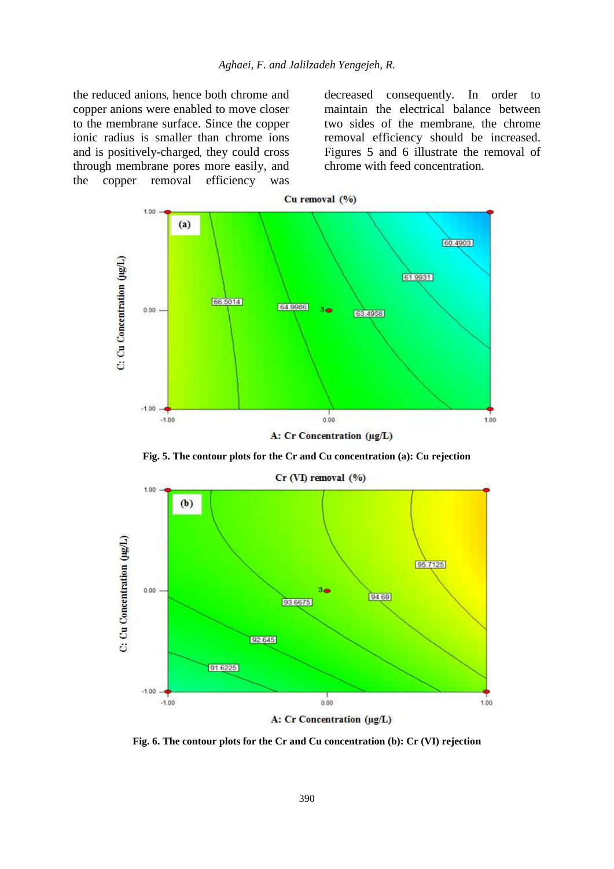the reduced anions, hence both chrome and copper anions were enabled to move closer to the membrane surface. Since the copper ionic radius is smaller than chrome ions and is positively-charged, they could cross through membrane pores more easily, and the copper removal efficiency was decreased consequently. In order to maintain the electrical balance between two sides of the membrane, the chrome removal efficiency should be increased. Figures 5 and 6 illustrate the removal of chrome with feed concentration.



**Fig. 5. The contour plots for the Cr and Cu concentration (a): Cu rejection**



**Fig. 6. The contour plots for the Cr and Cu concentration (b): Cr (VI) rejection**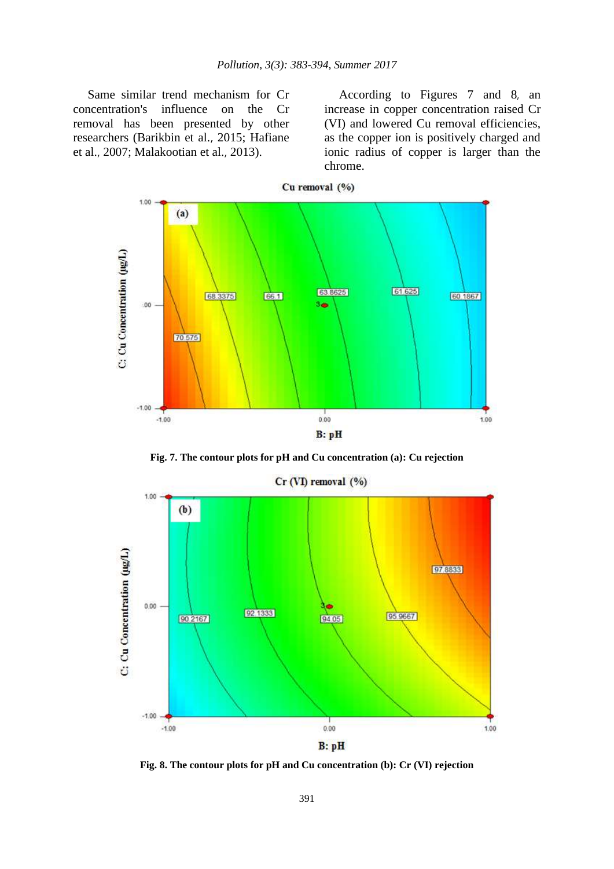Same similar trend mechanism for Cr concentration's influence on the Cr removal has been presented by other researchers (Barikbin et al., 2015; Hafiane et al., 2007; Malakootian et al., 2013).

According to Figures 7 and 8, an increase in copper concentration raised Cr (VI) and lowered Cu removal efficiencies, as the copper ion is positively charged and ionic radius of copper is larger than the chrome.



**Fig. 7. The contour plots for pH and Cu concentration (a): Cu rejection**



Cr (VI) removal (%)

**Fig. 8. The contour plots for pH and Cu concentration (b): Cr (VI) rejection**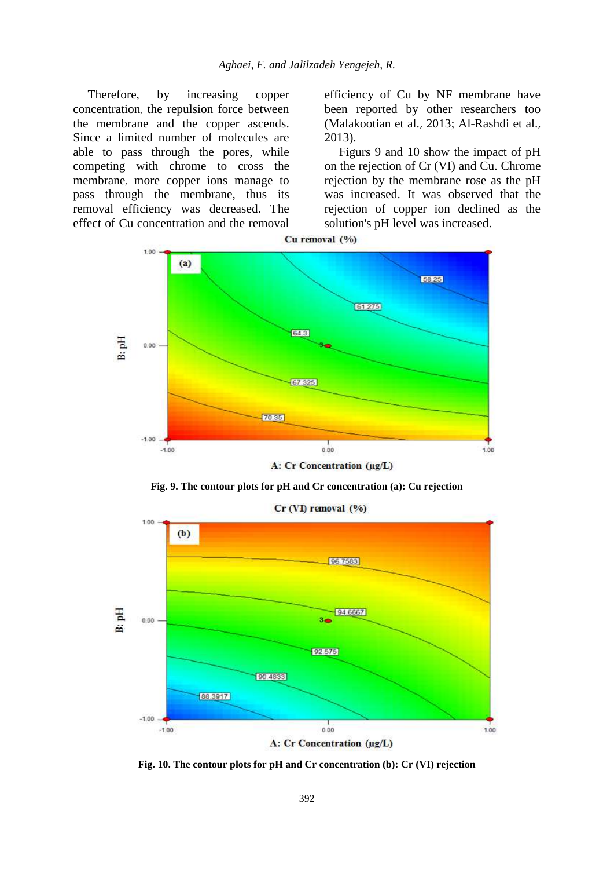Therefore, by increasing copper concentration, the repulsion force between the membrane and the copper ascends. Since a limited number of molecules are able to pass through the pores, while competing with chrome to cross the membrane, more copper ions manage to pass through the membrane, thus its removal efficiency was decreased. The effect of Cu concentration and the removal efficiency of Cu by NF membrane have been reported by other researchers too (Malakootian et al., 2013; Al-Rashdi et al., 2013).

Figurs 9 and 10 show the impact of pH on the rejection of Cr (VI) and Cu. Chrome rejection by the membrane rose as the pH was increased. It was observed that the rejection of copper ion declined as the solution's pH level was increased.



**Fig. 9. The contour plots for pH and Cr concentration (a): Cu rejection**



**Fig. 10. The contour plots for pH and Cr concentration (b): Cr (VI) rejection**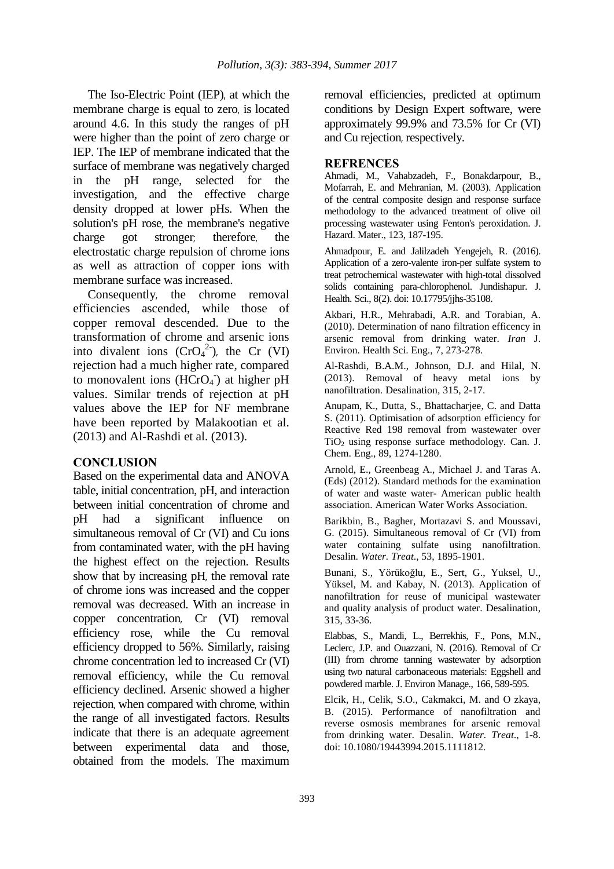The Iso-Electric Point (IEP), at which the membrane charge is equal to zero, is located around 4.6. In this study the ranges of pH were higher than the point of zero charge or IEP. The IEP of membrane indicated that the surface of membrane was negatively charged in the pH range, selected for the investigation, and the effective charge density dropped at lower pHs. When the solution's pH rose, the membrane's negative charge got stronger; therefore, the electrostatic charge repulsion of chrome ions as well as attraction of copper ions with membrane surface was increased.

Consequently, the chrome removal efficiencies ascended, while those of copper removal descended. Due to the transformation of chrome and arsenic ions into divalent ions  $(CrO<sub>4</sub><sup>2</sup>)$ , the Cr (VI) rejection had a much higher rate, compared to monovalent ions (HCrO<sub>4</sub><sup>-</sup>) at higher pH values. Similar trends of rejection at pH values above the IEP for NF membrane have been reported by Malakootian et al. (2013) and Al-Rashdi et al. (2013).

### **CONCLUSION**

Based on the experimental data and ANOVA table, initial concentration, pH, and interaction between initial concentration of chrome and pH had a significant influence on simultaneous removal of Cr (VI) and Cu ions from contaminated water, with the pH having the highest effect on the rejection. Results show that by increasing pH, the removal rate of chrome ions was increased and the copper removal was decreased. With an increase in copper concentration, Cr (VI) removal efficiency rose, while the Cu removal efficiency dropped to 56%. Similarly, raising chrome concentration led to increased Cr (VI) removal efficiency, while the Cu removal efficiency declined. Arsenic showed a higher rejection, when compared with chrome, within the range of all investigated factors. Results indicate that there is an adequate agreement between experimental data and those, obtained from the models. The maximum

removal efficiencies, predicted at optimum conditions by Design Expert software, were approximately 99.9% and 73.5% for Cr (VI) and Cu rejection, respectively.

## **REFRENCES**

Ahmadi, M., Vahabzadeh, F., Bonakdarpour, B., Mofarrah, E. and Mehranian, M. (2003). Application of the central composite design and response surface methodology to the advanced treatment of olive oil processing wastewater using Fenton's peroxidation. J. Hazard. Mater., 123, 187-195.

Ahmadpour, E. and Jalilzadeh Yengejeh, R. (2016). Application of a zero-valente iron-per sulfate system to treat petrochemical wastewater with high-total dissolved solids containing para-chlorophenol. Jundishapur. J. Health. Sci., 8(2). doi: 10.17795/jjhs-35108.

Akbari, H.R., Mehrabadi, A.R. and Torabian, A. (2010). Determination of nano filtration efficency in arsenic removal from drinking water. *Iran* J. Environ. Health Sci. Eng., 7, 273-278.

Al-Rashdi, B.A.M., Johnson, D.J. and Hilal, N. (2013). Removal of heavy metal ions by nanofiltration. Desalination, 315, 2-17.

Anupam, K., Dutta, S., Bhattacharjee, C. and Datta S. (2011). Optimisation of adsorption efficiency for Reactive Red 198 removal from wastewater over  $TiO<sub>2</sub>$  using response surface methodology. Can. J. Chem. Eng., 89, 1274-1280.

Arnold, E., Greenbeag A., Michael J. and Taras A. (Eds) (2012). Standard methods for the examination of water and waste water- American public health association. American Water Works Association.

Barikbin, B., Bagher, Mortazavi S. and Moussavi, G. (2015). Simultaneous removal of Cr (VI) from water containing sulfate using nanofiltration. Desalin. *Water. Treat*., 53, 1895-1901.

Bunani, S., Yörükoğlu, E., Sert, G., Yuksel, U., Yüksel, M. and Kabay, N. (2013). Application of nanofiltration for reuse of municipal wastewater and quality analysis of product water. Desalination, 315, 33-36.

Elabbas, S., Mandi, L., Berrekhis, F., Pons, M.N., Leclerc, J.P. and Ouazzani, N. (2016). Removal of Cr (III) from chrome tanning wastewater by adsorption using two natural carbonaceous materials: Eggshell and powdered marble. J. Environ Manage., 166, 589-595.

Elcik, H., Celik, S.O., Cakmakci, M. and O zkaya, B. (2015). Performance of nanofiltration and reverse osmosis membranes for arsenic removal from drinking water. Desalin. *Water. Treat*., 1-8. doi: 10.1080/19443994.2015.1111812.